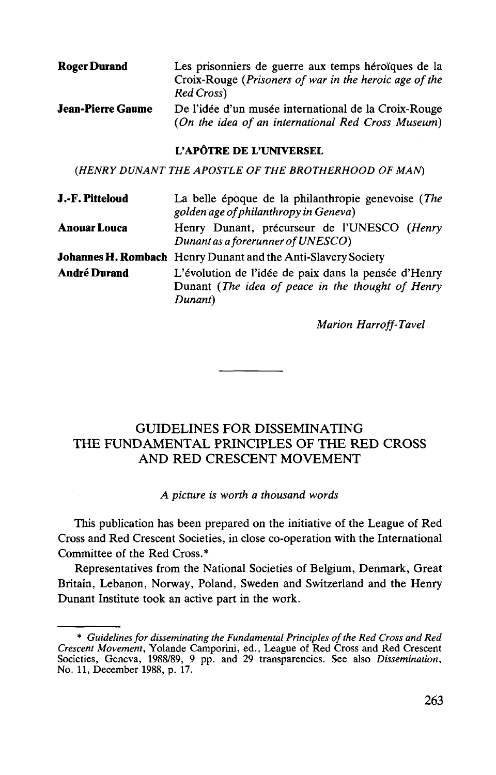| Roger Durand      | Les prisonniers de guerre aux temps héroïques de la<br>Croix-Rouge (Prisoners of war in the heroic age of the<br>Red Cross) |
|-------------------|-----------------------------------------------------------------------------------------------------------------------------|
| Jean-Pierre Gaume | De l'idée d'un musée international de la Croix-Rouge<br>(On the idea of an international Red Cross Museum)                  |

## **L'APGTRE** DE **L'UNIVERSEL**

*(HENRY DUN ANT THE APOSTLE OF THE BROTHERHOOD OF MAN)*

| J.-F. Pitteloud     | La belle époque de la philanthropie genevoise (The<br>golden age of philanthropy in Geneva)                          |
|---------------------|----------------------------------------------------------------------------------------------------------------------|
| <b>Anouar Louca</b> | Henry Dunant, précurseur de l'UNESCO (Henry<br>Dunant as a forerunner of UNESCO)                                     |
|                     | <b>Johannes H. Rombach</b> Henry Dunant and the Anti-Slavery Society                                                 |
| <b>André Durand</b> | L'évolution de l'idée de paix dans la pensée d'Henry<br>Dunant (The idea of peace in the thought of Henry<br>Dunant) |

*Marion Harroff-Tavel*

## GUIDELINES FOR DISSEMINATING THE FUNDAMENTAL PRINCIPLES OF THE RED CROSS AND RED CRESCENT MOVEMENT

## *A picture is worth a thousand words*

This publication has been prepared on the initiative of the League of Red Cross and Red Crescent Societies, in close co-operation with the International Committee of the Red Cross.\*

Representatives from the National Societies of Belgium, Denmark, Great Britain, Lebanon, Norway, Poland, Sweden and Switzerland and the Henry Dunant Institute took an active part in the work.

<sup>\*</sup> *Guidelines for disseminating the Fundamental Principles of the Red Cross and Red Crescent Movement,* Yolande Camporini, ed., League of Red Cross and Red Crescent Societies, Geneva, 1988/89, 9 pp. and 29 transparencies. See also *Dissemination,* No. 11, December 1988, p. 17.